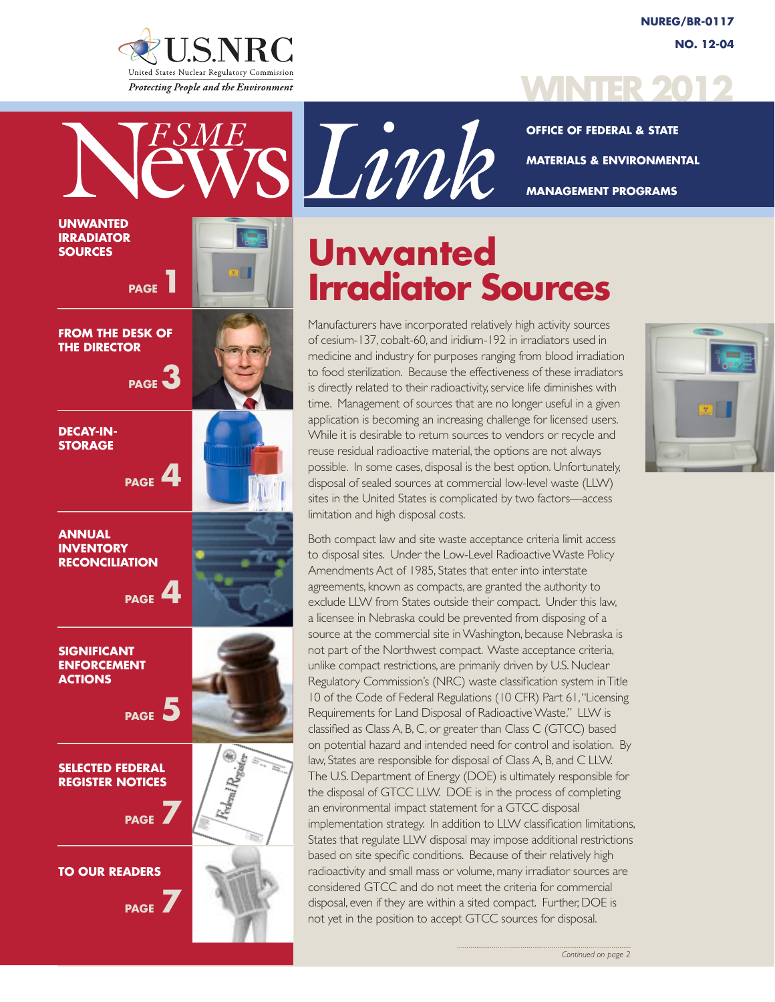

**UNWANTED IRRADIATOR SOURCES**



**OFFICE OF FEDERAL & STATE MATERIALS & ENVIRONMENTAL MANAGEMENT PROGRAMS**

# **Unwanted Irradiator Sources**

Manufacturers have incorporated relatively high activity sources of cesium-137, cobalt-60, and iridium-192 in irradiators used in medicine and industry for purposes ranging from blood irradiation to food sterilization. Because the effectiveness of these irradiators is directly related to their radioactivity, service life diminishes with time. Management of sources that are no longer useful in a given application is becoming an increasing challenge for licensed users. While it is desirable to return sources to vendors or recycle and reuse residual radioactive material, the options are not always possible. In some cases, disposal is the best option. Unfortunately, disposal of sealed sources at commercial low-level waste (LLW) sites in the United States is complicated by two factors—access limitation and high disposal costs.

Both compact law and site waste acceptance criteria limit access to disposal sites. Under the Low-Level Radioactive Waste Policy Amendments Act of 1985, States that enter into interstate agreements, known as compacts, are granted the authority to exclude LLW from States outside their compact. Under this law, a licensee in Nebraska could be prevented from disposing of a source at the commercial site in Washington, because Nebraska is not part of the Northwest compact. Waste acceptance criteria, unlike compact restrictions, are primarily driven by U.S. Nuclear Regulatory Commission's (NRC) waste classification system in Title 10 of the Code of Federal Regulations (10 CFR) Part 61, "Licensing Requirements for Land Disposal of Radioactive Waste." LLW is classified as Class A, B, C, or greater than Class C (GTCC) based on potential hazard and intended need for control and isolation. By law, States are responsible for disposal of Class A, B, and C LLW. The U.S. Department of Energy (DOE) is ultimately responsible for the disposal of GTCC LLW. DOE is in the process of completing an environmental impact statement for a GTCC disposal implementation strategy. In addition to LLW classification limitations, States that regulate LLW disposal may impose additional restrictions based on site specific conditions. Because of their relatively high radioactivity and small mass or volume, many irradiator sources are considered GTCC and do not meet the criteria for commercial disposal, even if they are within a sited compact. Further, DOE is not yet in the position to accept GTCC sources for disposal.



sVink

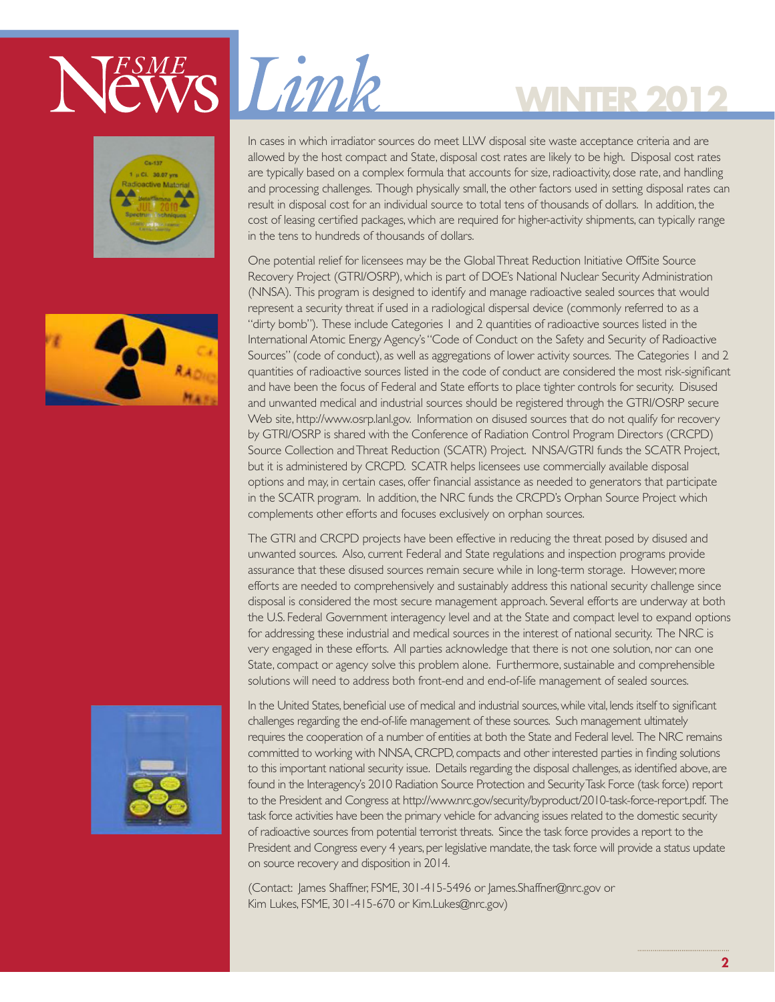







In cases in which irradiator sources do meet LLW disposal site waste acceptance criteria and are allowed by the host compact and State, disposal cost rates are likely to be high. Disposal cost rates are typically based on a complex formula that accounts for size, radioactivity, dose rate, and handling and processing challenges. Though physically small, the other factors used in setting disposal rates can result in disposal cost for an individual source to total tens of thousands of dollars. In addition, the cost of leasing certified packages, which are required for higher-activity shipments, can typically range in the tens to hundreds of thousands of dollars.

**WINTER 2012**

One potential relief for licensees may be the Global Threat Reduction Initiative OffSite Source Recovery Project (GTRI/OSRP), which is part of DOE's National Nuclear Security Administration (NNSA). This program is designed to identify and manage radioactive sealed sources that would represent a security threat if used in a radiological dispersal device (commonly referred to as a "dirty bomb"). These include Categories 1 and 2 quantities of radioactive sources listed in the International Atomic Energy Agency's "Code of Conduct on the Safety and Security of Radioactive Sources" (code of conduct), as well as aggregations of lower activity sources. The Categories 1 and 2 quantities of radioactive sources listed in the code of conduct are considered the most risk-significant and have been the focus of Federal and State efforts to place tighter controls for security. Disused and unwanted medical and industrial sources should be registered through the GTRI/OSRP secure Web site, http://www.osrp.lanl.gov. Information on disused sources that do not qualify for recovery by GTRI/OSRP is shared with the Conference of Radiation Control Program Directors (CRCPD) Source Collection and Threat Reduction (SCATR) Project. NNSA/GTRI funds the SCATR Project, but it is administered by CRCPD. SCATR helps licensees use commercially available disposal options and may, in certain cases, offer financial assistance as needed to generators that participate in the SCATR program. In addition, the NRC funds the CRCPD's Orphan Source Project which complements other efforts and focuses exclusively on orphan sources.

The GTRI and CRCPD projects have been effective in reducing the threat posed by disused and unwanted sources. Also, current Federal and State regulations and inspection programs provide assurance that these disused sources remain secure while in long-term storage. However, more efforts are needed to comprehensively and sustainably address this national security challenge since disposal is considered the most secure management approach. Several efforts are underway at both the U.S. Federal Government interagency level and at the State and compact level to expand options for addressing these industrial and medical sources in the interest of national security. The NRC is very engaged in these efforts. All parties acknowledge that there is not one solution, nor can one State, compact or agency solve this problem alone. Furthermore, sustainable and comprehensible solutions will need to address both front-end and end-of-life management of sealed sources.

In the United States, beneficial use of medical and industrial sources, while vital, lends itself to significant challenges regarding the end-of-life management of these sources. Such management ultimately requires the cooperation of a number of entities at both the State and Federal level. The NRC remains committed to working with NNSA, CRCPD, compacts and other interested parties in finding solutions to this important national security issue. Details regarding the disposal challenges, as identified above, are found in the Interagency's 2010 Radiation Source Protection and Security Task Force (task force) report to the President and Congress at http://www.nrc.gov/security/byproduct/2010-task-force-report.pdf. The task force activities have been the primary vehicle for advancing issues related to the domestic security of radioactive sources from potential terrorist threats. Since the task force provides a report to the President and Congress every 4 years, per legislative mandate, the task force will provide a status update on source recovery and disposition in 2014.

(Contact: James Shaffner, FSME, 301-415-5496 or James.Shaffner@nrc.gov or Kim Lukes, FSME, 301-415-670 or Kim.Lukes@nrc.gov)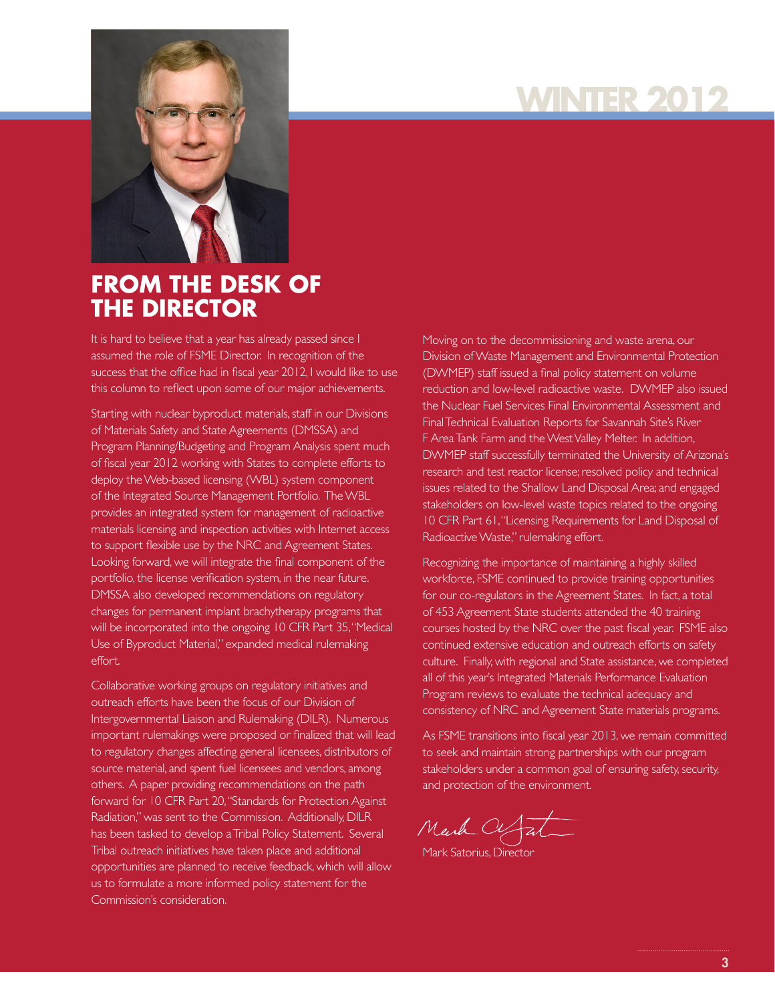# **WINTER 2012**



### **FROM THE DESK OF THE DIRECTOR**

It is hard to believe that a year has already passed since I assumed the role of FSME Director. In recognition of the success that the office had in fiscal year 2012, I would like to use this column to reflect upon some of our major achievements.

Starting with nuclear byproduct materials, staff in our Divisions of Materials Safety and State Agreements (DMSSA) and Program Planning/Budgeting and Program Analysis spent much of fiscal year 2012 working with States to complete efforts to deploy the Web-based licensing (WBL) system component of the Integrated Source Management Portfolio. The WBL provides an integrated system for management of radioactive materials licensing and inspection activities with Internet access to support flexible use by the NRC and Agreement States. Looking forward, we will integrate the final component of the portfolio, the license verification system, in the near future. DMSSA also developed recommendations on regulatory changes for permanent implant brachytherapy programs that will be incorporated into the ongoing 10 CFR Part 35, "Medical Use of Byproduct Material," expanded medical rulemaking effort.

Collaborative working groups on regulatory initiatives and outreach efforts have been the focus of our Division of Intergovernmental Liaison and Rulemaking (DILR). Numerous important rulemakings were proposed or finalized that will lead to regulatory changes affecting general licensees, distributors of source material, and spent fuel licensees and vendors, among others. A paper providing recommendations on the path forward for 10 CFR Part 20, "Standards for Protection Against Radiation," was sent to the Commission. Additionally, DILR has been tasked to develop a Tribal Policy Statement. Several Tribal outreach initiatives have taken place and additional opportunities are planned to receive feedback, which will allow us to formulate a more informed policy statement for the Commission's consideration.

Moving on to the decommissioning and waste arena, our Division of Waste Management and Environmental Protection (DWMEP) staff issued a final policy statement on volume reduction and low-level radioactive waste. DWMEP also issued the Nuclear Fuel Services Final Environmental Assessment and Final Technical Evaluation Reports for Savannah Site's River F Area Tank Farm and the West Valley Melter. In addition, DWMEP staff successfully terminated the University of Arizona's research and test reactor license; resolved policy and technical issues related to the Shallow Land Disposal Area; and engaged stakeholders on low-level waste topics related to the ongoing 10 CFR Part 61, "Licensing Requirements for Land Disposal of Radioactive Waste," rulemaking effort.

Recognizing the importance of maintaining a highly skilled workforce, FSME continued to provide training opportunities for our co-regulators in the Agreement States. In fact, a total of 453 Agreement State students attended the 40 training courses hosted by the NRC over the past fiscal year. FSME also continued extensive education and outreach efforts on safety culture. Finally, with regional and State assistance, we completed all of this year's Integrated Materials Performance Evaluation Program reviews to evaluate the technical adequacy and consistency of NRC and Agreement State materials programs.

As FSME transitions into fiscal year 2013, we remain committed to seek and maintain strong partnerships with our program stakeholders under a common goal of ensuring safety, security, and protection of the environment.

Mark CV

Mark Satorius, Director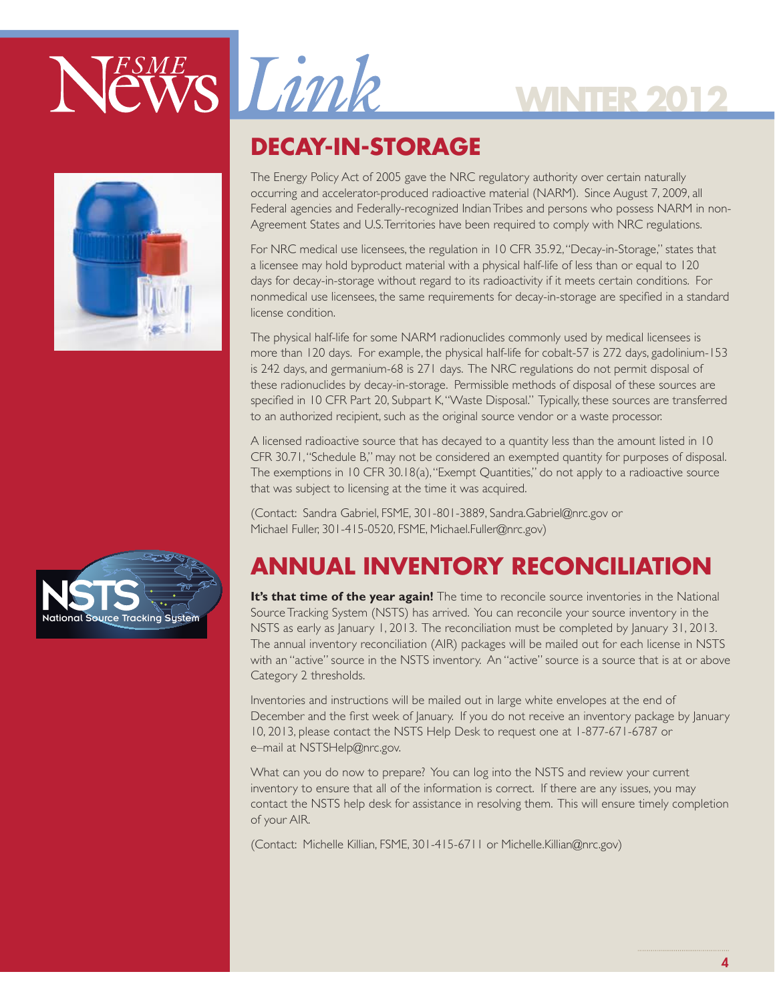

# **WINTER 2012**



### **DECAY-IN-STORAGE**

The Energy Policy Act of 2005 gave the NRC regulatory authority over certain naturally occurring and accelerator-produced radioactive material (NARM). Since August 7, 2009, all Federal agencies and Federally-recognized Indian Tribes and persons who possess NARM in non-Agreement States and U.S. Territories have been required to comply with NRC regulations.

For NRC medical use licensees, the regulation in 10 CFR 35.92, "Decay-in-Storage," states that a licensee may hold byproduct material with a physical half-life of less than or equal to 120 days for decay-in-storage without regard to its radioactivity if it meets certain conditions. For nonmedical use licensees, the same requirements for decay-in-storage are specified in a standard license condition.

The physical half-life for some NARM radionuclides commonly used by medical licensees is more than 120 days. For example, the physical half-life for cobalt-57 is 272 days, gadolinium-153 is 242 days, and germanium-68 is 271 days. The NRC regulations do not permit disposal of these radionuclides by decay-in-storage. Permissible methods of disposal of these sources are specified in 10 CFR Part 20, Subpart K, "Waste Disposal." Typically, these sources are transferred to an authorized recipient, such as the original source vendor or a waste processor.

A licensed radioactive source that has decayed to a quantity less than the amount listed in 10 CFR 30.71, "Schedule B," may not be considered an exempted quantity for purposes of disposal.<br>— The exemptions in 10 CFR 30.18(a), "Exempt Quantities," do not apply to a radioactive source that was subject to licensing at the time it was acquired.

(Contact: Sandra Gabriel, FSME, 301-801-3889, Sandra.Gabriel@nrc.gov or Michael Fuller, 301-415-0520, FSME, Michael.Fuller@nrc.gov)

### **ANNUAL INVENTORY RECONCILIATION**

**It's that time of the year again!** The time to reconcile source inventories in the National Source Tracking System (NSTS) has arrived. You can reconcile your source inventory in the NSTS as early as January 1, 2013. The reconciliation must be completed by January 31, 2013. The annual inventory reconciliation (AIR) packages will be mailed out for each license in NSTS with an "active" source in the NSTS inventory. An "active" source is a source that is at or above Category 2 thresholds.

Inventories and instructions will be mailed out in large white envelopes at the end of December and the first week of January. If you do not receive an inventory package by January 10, 2013, please contact the NSTS Help Desk to request one at 1-877-671-6787 or e–mail at NSTSHelp@nrc.gov.

What can you do now to prepare? You can log into the NSTS and review your current inventory to ensure that all of the information is correct. If there are any issues, you may contact the NSTS help desk for assistance in resolving them. This will ensure timely completion of your AIR.

(Contact: Michelle Killian, FSME, 301-415-6711 or Michelle.Killian@nrc.gov)

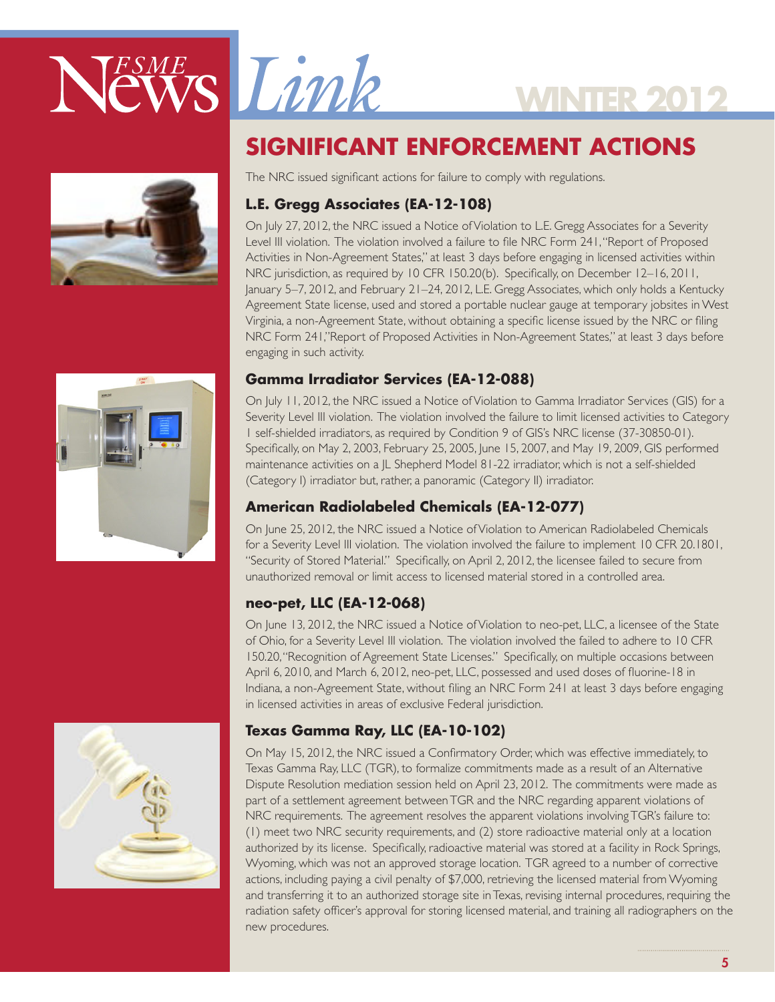

## **SIGNIFICANT ENFORCEMENT ACTIONS**

**WINTER 2012**

The NRC issued significant actions for failure to comply with regulations.

#### **L.E. Gregg Associates (EA-12-108)**

On July 27, 2012, the NRC issued a Notice of Violation to L.E. Gregg Associates for a Severity Level III violation. The violation involved a failure to file NRC Form 241, "Report of Proposed Activities in Non-Agreement States," at least 3 days before engaging in licensed activities within NRC jurisdiction, as required by 10 CFR 150.20(b). Specifically, on December 12–16, 2011, January 5–7, 2012, and February 21–24, 2012, L.E. Gregg Associates, which only holds a Kentucky Agreement State license, used and stored a portable nuclear gauge at temporary jobsites in West Virginia, a non-Agreement State, without obtaining a specific license issued by the NRC or filing NRC Form 241,"Report of Proposed Activities in Non-Agreement States," at least 3 days before engaging in such activity.

#### **Gamma Irradiator Services (EA-12-088)**

On July 11, 2012, the NRC issued a Notice of Violation to Gamma Irradiator Services (GIS) for a Severity Level III violation. The violation involved the failure to limit licensed activities to Category 1 self-shielded irradiators, as required by Condition 9 of GIS's NRC license (37-30850-01). Specifically, on May 2, 2003, February 25, 2005, June 15, 2007, and May 19, 2009, GIS performed maintenance activities on a JL Shepherd Model 81-22 irradiator, which is not a self-shielded (Category I) irradiator but, rather, a panoramic (Category II) irradiator.

#### **American Radiolabeled Chemicals (EA-12-077)**

On June 25, 2012, the NRC issued a Notice of Violation to American Radiolabeled Chemicals for a Severity Level III violation. The violation involved the failure to implement 10 CFR 20.1801, "Security of Stored Material." Specifically, on April 2, 2012, the licensee failed to secure from unauthorized removal or limit access to licensed material stored in a controlled area.

#### **neo-pet, LLC (EA-12-068)**

On June 13, 2012, the NRC issued a Notice of Violation to neo-pet, LLC, a licensee of the State of Ohio, for a Severity Level III violation. The violation involved the failed to adhere to 10 CFR 150.20, "Recognition of Agreement State Licenses." Specifically, on multiple occasions between April 6, 2010, and March 6, 2012, neo-pet, LLC, possessed and used doses of fluorine-18 in Indiana, a non-Agreement State, without filing an NRC Form 241 at least 3 days before engaging in licensed activities in areas of exclusive Federal jurisdiction.

#### **Texas Gamma Ray, LLC (EA-10-102)**

On May 15, 2012, the NRC issued a Confirmatory Order, which was effective immediately, to Texas Gamma Ray, LLC (TGR), to formalize commitments made as a result of an Alternative Dispute Resolution mediation session held on April 23, 2012. The commitments were made as part of a settlement agreement between TGR and the NRC regarding apparent violations of NRC requirements. The agreement resolves the apparent violations involving TGR's failure to: (1) meet two NRC security requirements, and (2) store radioactive material only at a location authorized by its license. Specifically, radioactive material was stored at a facility in Rock Springs, Wyoming, which was not an approved storage location. TGR agreed to a number of corrective actions, including paying a civil penalty of \$7,000, retrieving the licensed material from Wyoming and transferring it to an authorized storage site in Texas, revising internal procedures, requiring the radiation safety officer's approval for storing licensed material, and training all radiographers on the new procedures.



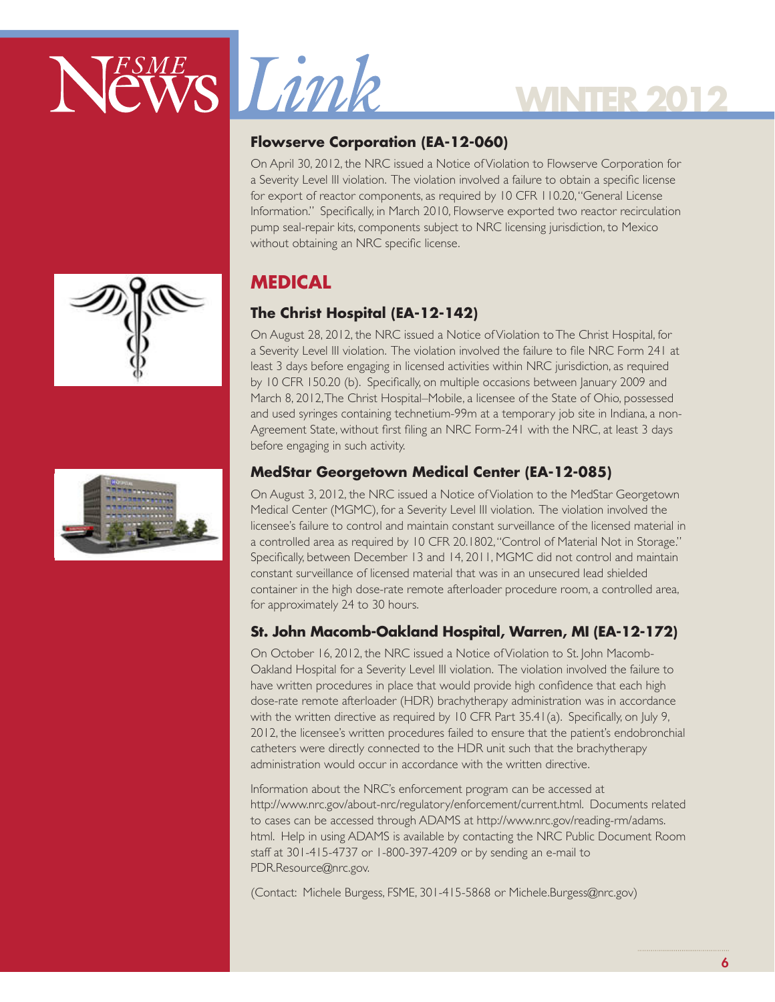

# **WINTER 3**

#### **Flowserve Corporation (EA-12-060)**

On April 30, 2012, the NRC issued a Notice of Violation to Flowserve Corporation for a Severity Level III violation. The violation involved a failure to obtain a specific license for export of reactor components, as required by 10 CFR 110.20, "General License Information." Specifically, in March 2010, Flowserve exported two reactor recirculation pump seal-repair kits, components subject to NRC licensing jurisdiction, to Mexico without obtaining an NRC specific license.

### **MEDICAL**

#### **The Christ Hospital (EA-12-142)**

On August 28, 2012, the NRC issued a Notice of Violation to The Christ Hospital, for a Severity Level III violation. The violation involved the failure to file NRC Form 241 at least 3 days before engaging in licensed activities within NRC jurisdiction, as required by 10 CFR 150.20 (b). Specifically, on multiple occasions between January 2009 and March 8, 2012, The Christ Hospital–Mobile, a licensee of the State of Ohio, possessed and used syringes containing technetium-99m at a temporary job site in Indiana, a non-Agreement State, without first filing an NRC Form-241 with the NRC, at least 3 days before engaging in such activity.

#### **MedStar Georgetown Medical Center (EA-12-085)**

On August 3, 2012, the NRC issued a Notice of Violation to the MedStar Georgetown Medical Center (MGMC), for a Severity Level III violation. The violation involved the licensee's failure to control and maintain constant surveillance of the licensed material in a controlled area as required by 10 CFR 20.1802, "Control of Material Not in Storage." Specifically, between December 13 and 14, 2011, MGMC did not control and maintain constant surveillance of licensed material that was in an unsecured lead shielded container in the high dose-rate remote afterloader procedure room, a controlled area, for approximately 24 to 30 hours.

#### **St. John Macomb-Oakland Hospital, Warren, MI (EA-12-172)**

On October 16, 2012, the NRC issued a Notice of Violation to St. John Macomb-Oakland Hospital for a Severity Level III violation. The violation involved the failure to have written procedures in place that would provide high confidence that each high dose-rate remote afterloader (HDR) brachytherapy administration was in accordance with the written directive as required by 10 CFR Part 35.41(a). Specifically, on July 9, 2012, the licensee's written procedures failed to ensure that the patient's endobronchial catheters were directly connected to the HDR unit such that the brachytherapy administration would occur in accordance with the written directive.

Information about the NRC's enforcement program can be accessed at http://www.nrc.gov/about-nrc/regulatory/enforcement/current.html. Documents related to cases can be accessed through ADAMS at http://www.nrc.gov/reading-rm/adams. html. Help in using ADAMS is available by contacting the NRC Public Document Room staff at 301-415-4737 or 1-800-397-4209 or by sending an e-mail to PDR.Resource@nrc.gov.

(Contact: Michele Burgess, FSME, 301-415-5868 or Michele.Burgess@nrc.gov)